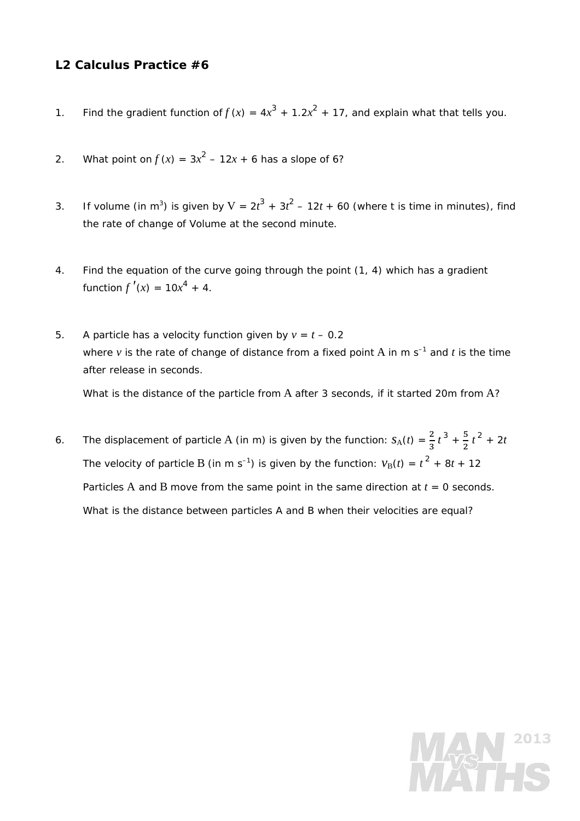## **L2 Calculus Practice #6**

- 1. Find the gradient function of  $f(x) = 4x^3 + 1.2x^2 + 17$ , and explain what that tells you.
- 2. What point on  $f(x) = 3x^2 12x + 6$  has a slope of 6?
- 3. If volume (in m<sup>3</sup>) is given by  $V = 2t^3 + 3t^2 12t + 60$  (where t is time in minutes), find the rate of change of Volume at the second minute.
- 4. Find the equation of the curve going through the point (1, 4) which has a gradient function  $f'(x) = 10x^4 + 4$ .
- 5. A particle has a velocity function given by  $v = t 0.2$ where  $v$  is the rate of change of distance from a fixed point A in m  $s^{-1}$  and  $t$  is the time after release in seconds.

What is the distance of the particle from A after 3 seconds, if it started 20m from A?

6. The displacement of particle A (in m) is given by the function:  $s_A(t) = \frac{2}{3}t^3 + \frac{5}{2}t^2 + 2t$ The velocity of particle B (in m s<sup>-1</sup>) is given by the function:  $v_B(t) = t^2 + 8t + 12$ Particles A and B move from the same point in the same direction at  $t = 0$  seconds. What is the distance between particles A and B when their velocities are equal?